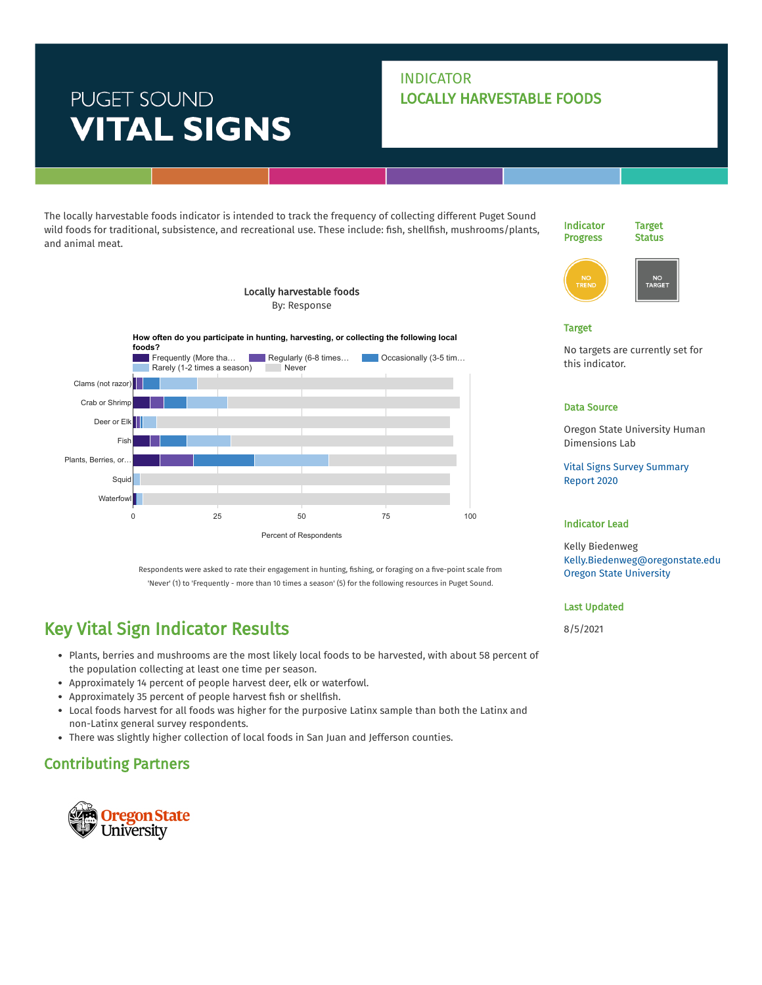# PUGET SOUND **VITAL SIGNS**

### INDICATOR LOCALLY HARVESTABLE FOODS

The locally harvestable foods indicator is intended to track the frequency of collecting different Puget Sound wild foods for traditional, subsistence, and recreational use. These include: fish, shellfish, mushrooms/plants, and animal meat.





#### Target

No targets are currently set for this indicator.

#### Data Source

Oregon State University Human Dimensions Lab

Vital [Signs Survey](https://kellybiedenweg.weebly.com/uploads/9/4/0/6/94065145/vital_signs_final_2020.pdf) Summary Report 2020

#### Indicator Lead

Kelly Biedenweg [Kelly.Biedenweg@oregonstate.edu](mailto:Kelly.Biedenweg@oregonstate.edu) Oregon State [University](https://www.pugetsoundinfo.wa.gov/Organization/Detail/8)

#### Last Updated

8/5/2021



Respondents were asked to rate their engagement in hunting, fishing, or foraging on a five-point scale from 'Never' (1) to 'Frequently - more than 10 times a season' (5) for the following resources in Puget Sound.

## Key Vital Sign Indicator Results

- Plants, berries and mushrooms are the most likely local foods to be harvested, with about 58 percent of the population collecting at least one time per season.
- Approximately 14 percent of people harvest deer, elk or waterfowl.
- Approximately 35 percent of people harvest fish or shellfish.
- Local foods harvest for all foods was higher for the purposive Latinx sample than both the Latinx and non-Latinx general survey respondents.
- There was slightly higher collection of local foods in San Juan and Jefferson counties.

### Contributing Partners